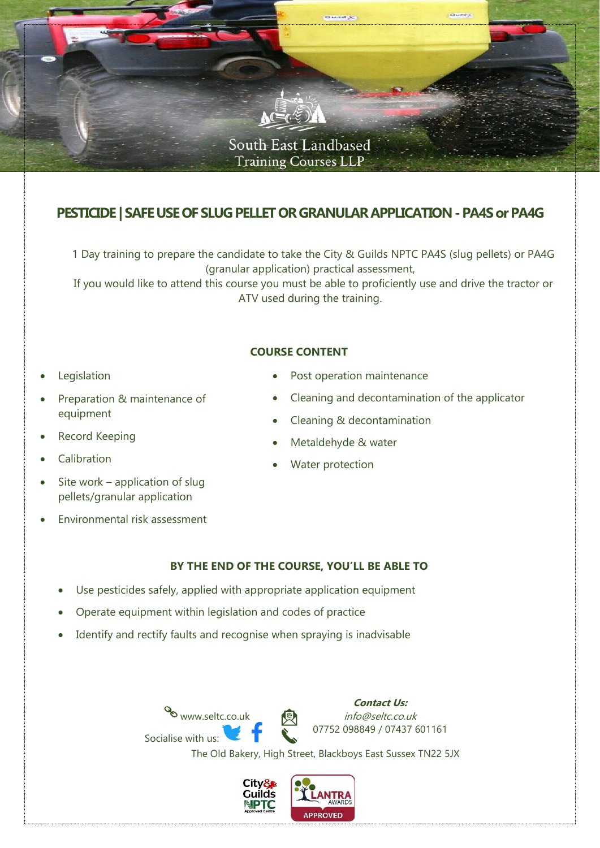

# **PESTICIDE | SAFE USE OF SLUG PELLET OR GRANULAR APPLICATION-PA4S or PA4G**

1 Day training to prepare the candidate to take the City & Guilds NPTC PA4S (slug pellets) or PA4G (granular application) practical assessment,

If you would like to attend this course you must be able to proficiently use and drive the tractor or ATV used during the training.

### **COURSE CONTENT**

- **Legislation**
- Preparation & maintenance of equipment
- Record Keeping
- Calibration
- Site work application of slug pellets/granular application
- Environmental risk assessment
- Post operation maintenance
- Cleaning and decontamination of the applicator
- Cleaning & decontamination
- Metaldehyde & water
- Water protection

### **BY THE END OF THE COURSE, YOU'LL BE ABLE TO**

- Use pesticides safely, applied with appropriate application equipment
- Operate equipment within legislation and codes of practice
- Identify and rectify faults and recognise when spraying is inadvisable





The Old Bakery, High Street, Blackboys East Sussex TN22 5JX